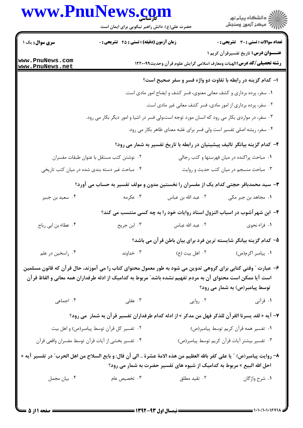## www.PnuNews.com



حضرت علی(ع): دانش راهبر نیکویی برای ایمان است

| <b>سری سوال :</b> یک ۱                                                              | زمان آزمون (دقیقه) : تستی : ۴۵ قشریحی : 0                                                                   |                                                                         | <b>عداد سوالات : تستی : 30 ٪ تشریحی : 0</b>                                                                                                     |
|-------------------------------------------------------------------------------------|-------------------------------------------------------------------------------------------------------------|-------------------------------------------------------------------------|-------------------------------------------------------------------------------------------------------------------------------------------------|
| www.PnuNews.com<br>www.PnuNews.net                                                  |                                                                                                             |                                                                         | <b>عنـــوان درس:</b> تاریخ تفسیرقرآن کریم ۱<br><b>رشته تحصیلی/کد درس:</b> الهیات ومعارف اسلامی گرایش علوم قرآن وحدیث۱۲۲۰۰۹۹                     |
|                                                                                     |                                                                                                             |                                                                         | ۱– کدام گزینه در رابطه با تفاوت دو واژه فسر و سفر صحیح است؟                                                                                     |
|                                                                                     |                                                                                                             | ۱. سفر، پرده برداری و کشف معانی معنوی، فسر کشف و ایضاح امور مادی است.   |                                                                                                                                                 |
|                                                                                     |                                                                                                             | ۰۲ سفر، پرده برداری از امور مادی، فسر کشف معانی غیر مادی است.           |                                                                                                                                                 |
|                                                                                     | ۰۳ سفر، در مواردی بکار می رود که انسان مورد توجه است،ولی فسر در اشیا و امور دیگر بکار می رود.               |                                                                         |                                                                                                                                                 |
|                                                                                     |                                                                                                             | ۰۴ سفر، ریشه اصلی تفسیر است ولی فسر برای غلبه معنای ظاهر بکار می رود.   |                                                                                                                                                 |
|                                                                                     |                                                                                                             |                                                                         | ۲- کدام گزینه بیانگر تالیف پیشینیان در رابطه با تاریخ تفسیر به شمار می رود؟                                                                     |
|                                                                                     | ۰۲ نوشتن کتب مستقل با عنوان طبقات مفسران                                                                    |                                                                         | ۰۱ مباحث پراکنده در میان فهرستها و کتب رجالی                                                                                                    |
|                                                                                     | ۰۴ مباحث غیر دسته بندی شده در میان کتب تاریخی                                                               |                                                                         | ۰۳ مباحث منسجم در میان کتب حدیث و روایت                                                                                                         |
| ۳- سید محمدباقر حجتی کدام یک از مفسران را نخستین مدون و مولف تفسیر به حساب می آورد؟ |                                                                                                             |                                                                         |                                                                                                                                                 |
| ۰۴ سعید بن جبیر                                                                     | ۰۳ عکرمه                                                                                                    | ۰۲ عبد الله بن عباس                                                     | ۰۱ مجاهد بن جبر مکی                                                                                                                             |
|                                                                                     |                                                                                                             |                                                                         | ۴– ابن شهر آشوب در اسباب النزول اسناد روایات خود را به چه کسی منتسب می کند؟                                                                     |
| ۰۴ عطاء بن ابي رباح                                                                 | ۰۳ ابن جریح                                                                                                 | ٠٢ عبد الله عباس                                                        | ١. فراء نحوى                                                                                                                                    |
|                                                                                     |                                                                                                             |                                                                         | ۵– کدام گزینه بیانگر شایسته ترین فرد برای بیان باطن قرآن می باشد؟                                                                               |
| ۰۴ راسخين در علم                                                                    | ۰۳ خداوند                                                                                                   | ۰۲ اهل بيت (ع)                                                          | ٠١. پيامبر اکرم(ص)                                                                                                                              |
|                                                                                     | است آیا ممکن است محتوای آن به مردم تفهیم نشده باشد" مربوط به کدامیک از ادله طرفداران همه معانی و الفاظ قرآن |                                                                         | ۶– عبارت ″ وقتی کتابی برای گروهی تدوین می شود به طور معمول محتوای کتاب را می آموزند، حال قرآن که قانون مسلمین<br>توسط پیامبر(ص) به شمار می رود؟ |
| ۰۴ اجماعی                                                                           | ۰۳ عقلی $\cdot$                                                                                             | ۰۲ روایی                                                                | ۰۱ قرآنی                                                                                                                                        |
|                                                                                     |                                                                                                             |                                                                         | ۷– آیه « لقد یسرنا القرآن للذکر فهل من مدکر » از ادله کدام طرفداران تفسیر قرآن به شمار  می رود؟                                                 |
|                                                                                     | ۰۲ تفسیر کل قرآن توسط پیامبر(ص) و اهل بیت                                                                   |                                                                         | ٠١ تفسير همه قرآن كريم توسط پيامبر(ص)                                                                                                           |
|                                                                                     | ۰۴ تفسیر بخشی از أیات قرأن توسط مفسران واقعی قرأن                                                           |                                                                         | ۰۳ تفسیر بیشتر آیات قرآن کریم توسط پیامبر(ص)                                                                                                    |
|                                                                                     |                                                                                                             | احل الله البیع » مربوط به کدامیک از شیوه های تفسیر حضرت به شمار می رود؟ | ٨– روايت پيامبر(ص) ″ يا على كفر بالله العظيم من هذه الامهٔ عشرهٔ  الى أن قال: و بايع السلاح من اهل الحرب″ در تفسير آيه «                        |
| ۰۴ بیان مجمل                                                                        | ۰۳ تخصیص عام                                                                                                | ۰۲ تقید مطلق                                                            | ۰۱ شرح واژگان                                                                                                                                   |
|                                                                                     |                                                                                                             |                                                                         |                                                                                                                                                 |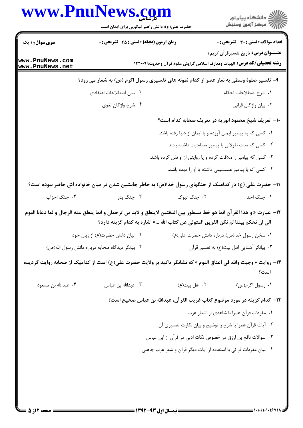| <b>سری سوال : ۱ یک</b>                                                                                                   | <b>زمان آزمون (دقیقه) : تستی : 45 گشریحی : 0</b><br>۰۲ بیان اصطلاحات اعتقادی<br>۰۴ شرح واژگان لغوي | <b>رشته تحصیلی/کد درس:</b> الهیات ومعارف اسلامی گرایش علوم قرآن وحدیث۱۲۲۰۰۹۹<br>۹- تفسیر صلوهٔ وسطی به نماز عصر از کدام نمونه های تفسیری رسول اکرم (ص) به شمار می رود؟ | <b>تعداد سوالات : تستی : 30 ٪ تشریحی : 0</b><br><b>عنــوان درس:</b> تاریخ تفسیرقرآن کریم ۱<br><b>۱.</b> شرح اصطلاحات احکام |
|--------------------------------------------------------------------------------------------------------------------------|----------------------------------------------------------------------------------------------------|------------------------------------------------------------------------------------------------------------------------------------------------------------------------|----------------------------------------------------------------------------------------------------------------------------|
| www.PnuNews.com<br>www.PnuNews.net                                                                                       |                                                                                                    |                                                                                                                                                                        |                                                                                                                            |
|                                                                                                                          |                                                                                                    |                                                                                                                                                                        |                                                                                                                            |
|                                                                                                                          |                                                                                                    |                                                                                                                                                                        |                                                                                                                            |
|                                                                                                                          |                                                                                                    |                                                                                                                                                                        |                                                                                                                            |
|                                                                                                                          |                                                                                                    |                                                                                                                                                                        | ۰۳ بیان واژگان قرانی                                                                                                       |
|                                                                                                                          |                                                                                                    | +ا- تعریف شیخ محمود ابوریه در تعریف صحابه کدام است؟                                                                                                                    |                                                                                                                            |
|                                                                                                                          |                                                                                                    | <b>۱.</b> کسی که به پیامبر ایمان آورده و با ایمان از دنیا رفته باشد.                                                                                                   |                                                                                                                            |
|                                                                                                                          |                                                                                                    | ۰۲ کسی که مدت طولانی با پیامبر مصاحبت داشته باشد.                                                                                                                      |                                                                                                                            |
|                                                                                                                          |                                                                                                    | ۰۳ کسی که پیامبر را ملاقات کرده و یا روایتی از او نقل کرده باشد.                                                                                                       |                                                                                                                            |
|                                                                                                                          |                                                                                                    | ۰۴ کسی که با پیامبر همنشینی داشته یا او را دیده باشد.                                                                                                                  |                                                                                                                            |
| 1۱– حضرت علی (ع) در کدامیک از جنگهای رسول خدا(ص) به خاطر جانشین شدن در میان خانواده اش حاضر نبوده است؟                   |                                                                                                    |                                                                                                                                                                        |                                                                                                                            |
| ۰۴ جنگ احزاب                                                                                                             | ۰۳ چنگ بدر                                                                                         | ۰۲ جنگ تبوک                                                                                                                                                            | ۰۱ جنگ احد                                                                                                                 |
| ١٢−  عبارت « و هذا القر آن انما هو خط مسطور بين الدفتين لاينطق و لابد من ترجمان و انما ينطق عنه الرجال و لما دعانا القوم |                                                                                                    | الى ان نحكم بيننا لم نكن الفريق المتولى عن كتاب الله …» اشاره به كدام گزينه دارد؟                                                                                      |                                                                                                                            |
|                                                                                                                          | ۰۲ بیان دانش حضرت(ع) از زبان خود                                                                   | ۰۱ سخن رسول خدا(ص) درباره دانش حضرت علی(ع)                                                                                                                             |                                                                                                                            |
| ۰۴ بیانگر دیدگاه صحابه درباره دانش رسول الله(ص)                                                                          |                                                                                                    |                                                                                                                                                                        | ۰۳ بیانگر آشنایی اهل بیت(ع) به تفسیر قرآن                                                                                  |
| ۱۳- روایت « وجبت والله فی اعناق القوم » که نشانگر تاکید بر ولایت حضرت علی(ع) است از کدامیک از صحابه روایت گردیده         |                                                                                                    |                                                                                                                                                                        | است؟                                                                                                                       |
| ۰۴ عبدالله بن مسعود                                                                                                      | ۰۳ عبدالله بن عباس                                                                                 | ۰۲ اهل بيت(ع)                                                                                                                                                          | ۰۱ رسول اکرم(ص)                                                                                                            |
|                                                                                                                          |                                                                                                    | ۱۴– كدام گزينه در مورد موضوع كتاب غريب القرآن، عبدالله بن عباس صحيح است؟                                                                                               |                                                                                                                            |
|                                                                                                                          |                                                                                                    |                                                                                                                                                                        | ٠١ مفردات قرآن همرا با شاهدي از اشعار عرب                                                                                  |
|                                                                                                                          |                                                                                                    | ۰۲ آیات قرآن همرا با شرح و توضیح و بیان نکارت تفسیری آن                                                                                                                |                                                                                                                            |
|                                                                                                                          |                                                                                                    | ۰۳ سوالات نافع بن ارزق در خصوص نکات ادبی در قرآن از ابن عباس                                                                                                           |                                                                                                                            |
|                                                                                                                          |                                                                                                    | ۰۴ بیان مفردات قرآنی با استفاده از آیات دیگر قرآن و شعر عرب جاهلی                                                                                                      |                                                                                                                            |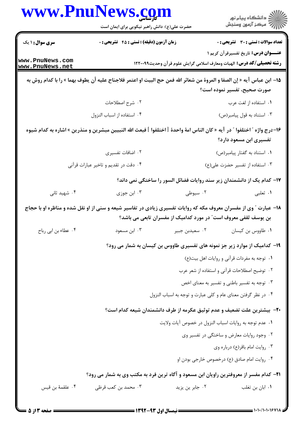|                                    | حضرت علی(ع): دانش راهبر نیکویی برای ایمان است                                                                             |                                                                              | ر<br>دانشڪاه پيام نور)<br>اڳ مرڪز آزمون وسنڊش |
|------------------------------------|---------------------------------------------------------------------------------------------------------------------------|------------------------------------------------------------------------------|-----------------------------------------------|
| <b>سری سوال :</b> ۱ یک             | <b>زمان آزمون (دقیقه) : تستی : 45 گتشریحی : 0</b>                                                                         |                                                                              | <b>تعداد سوالات : تستی : 30 - تشریحی : 0</b>  |
| www.PnuNews.com<br>www.PnuNews.net |                                                                                                                           | <b>رشته تحصیلی/کد درس:</b> الهیات ومعارف اسلامی گرایش علوم قرآن وحدیث۱۲۲۰۰۹۹ | <b>عنـــوان درس:</b> تاریخ تفسیرقرآن کریم ۱   |
|                                    | 1۵− ابن عباس آيه « إن الصفا و المروة من شعائر الله فمن حج البيت او اعتمر فلاجناح عليه أن يطوف بهما » را با كدام روش به    |                                                                              | صورت صحيح، تفسير نموده است؟                   |
|                                    | ۲. شرح اصطلاحات                                                                                                           |                                                                              | ٠١ استفاده از لغت عرب                         |
|                                    | ۰۴ استفاده از اسباب النزول                                                                                                |                                                                              | ۰۳ استناد به قول پیامبر(ص)                    |
|                                    | 1۶–درج واژه ″ اختلفوا ″ در آيه « كان الناس امهٔ واحدهٔ [ اختلفوا ] فبعث الله النبيين مبشرين و منذرين » اشاره به كدام شيوه |                                                                              | تفسیری ابن مسعود دارد؟                        |
|                                    | ۰۲ اضافات تفسیری                                                                                                          |                                                                              | ٠١ استناد به گفتار پيامبر(ص)                  |
|                                    | ۰۴ دقت در تقدیم و تاخیر عبارات قرآنی                                                                                      |                                                                              | ۰۳ استفاده از تفسیر حضزت علی(ع)               |
|                                    |                                                                                                                           | ۱۷– کدام یک از دانشمندان زیر سند روایات فضائل السور را ساختگی نمی داند؟      |                                               |
| ۰۴ شهید ثانی                       | ۰۳ ابن جوزی                                                                                                               | ۰۲ سیوطی                                                                     | ۱. ثعلبی                                      |
|                                    | ۱۸- عبارت ″ وی از مفسران معروف مکه که روایات تفسیری زیادی در تفاسیر شیعه و سنی از او نقل شده و مناظره او با حجاج          | بن یوسف ثقفی معروف است″ در مورد کدامیک از مفسران تابعی می باشد؟              |                                               |
| ۰۴ عطاء بن ابي رباح                | ۰۳ ابن مسعود                                                                                                              | ۰۲ سعيدبن جبير                                                               | ۰۱ طاووس بن کیسان                             |
|                                    |                                                                                                                           | ۱۹- کدامیک از موارد زیر جز نمونه های تفسیری طاووس بن کیسان به شمار می رود؟   |                                               |
|                                    |                                                                                                                           |                                                                              | ٠١ توجه به مفردات قرآنى و روايات اهل بيت (ع)  |
|                                    |                                                                                                                           |                                                                              | ٠٢ توضيح اصطلاحات قرآني و استفاده از شعر عرب  |
|                                    |                                                                                                                           |                                                                              | ۰۳ توجه به تفسیر باطنی و تفسیر به معنای اخص   |
|                                    |                                                                                                                           | ۰۴ در نظر گرفتن معنای عام و کلی عبارت و توجه به اسباب النزول                 |                                               |
|                                    |                                                                                                                           | +٢- بيشترين علت تضعيف و عدم توثيق عكرمه از طرف دانشمندان شيعه كدام است؟      |                                               |
|                                    |                                                                                                                           | ٠١ عدم توجه به روايات اسباب النزول در خصوص آيات ولايت                        |                                               |
|                                    |                                                                                                                           |                                                                              | ۰۲ وجود روایات معارض و ساختگی در تفسیر وی     |
|                                    |                                                                                                                           |                                                                              | ۰۳ روايت امام باقر(ع) درباره وي               |
|                                    |                                                                                                                           |                                                                              | ۰۴ روایت امام صادق (ع) درخصوص خارجی بودن او   |
|                                    | <b>۲۱</b> - کدام مفسر از معروفترین راویان ابن مسعود و آگاه ترین فرد به مکتب وی به شمار می رود؟                            |                                                                              |                                               |
| ۰۴ علقمهٔ بن قیس                   | ۰۳ محمد بن کعب قرظی                                                                                                       | ۰۲ جابر ین یزید                                                              | ٠١. ابان بن تغلب                              |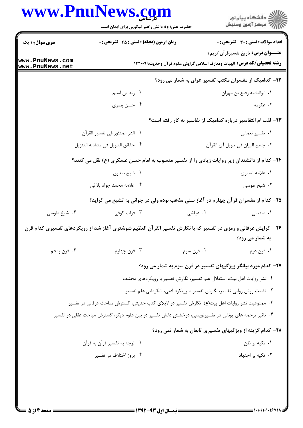|                                    | www.PnuNews.com<br>حضرت علی(ع): دانش راهبر نیکویی برای ایمان است                                             |                                                                          | ر<br>دانشڪاه پيام نور)<br>سڪز آزمون وسنڊش                                                                                   |
|------------------------------------|--------------------------------------------------------------------------------------------------------------|--------------------------------------------------------------------------|-----------------------------------------------------------------------------------------------------------------------------|
| <b>سری سوال : ۱ یک</b>             | <b>زمان آزمون (دقیقه) : تستی : 45 تشریحی : 0</b>                                                             |                                                                          | تعداد سوالات : تستي : 30 ٪ تشريحي : 0                                                                                       |
| www.PnuNews.com<br>www.PnuNews.net |                                                                                                              |                                                                          | <b>عنـــوان درس:</b> تاریخ تفسیرقرآن کریم ۱<br><b>رشته تحصیلی/کد درس:</b> الهیات ومعارف اسلامی گرایش علوم قرآن وحدیث۱۲۲۰۰۹۹ |
|                                    |                                                                                                              |                                                                          | <b>۲۲</b> - کدامیک از مفسران مکتب تفسیر عراق به شمار می رود؟                                                                |
|                                    | ۰۲ زید بن اسلم                                                                                               |                                                                          | ٠١. ابوالعاليه رفيع بن مهران                                                                                                |
|                                    | ۰۴ حسن بصری                                                                                                  |                                                                          | ۰۳ عکرمه                                                                                                                    |
|                                    |                                                                                                              |                                                                          | ۲۳- لقب ام التفاسير درباره كداميك از تفاسير به كار رفته است؟                                                                |
|                                    | ٢. الدر المنثور في تفسير القرآن                                                                              |                                                                          | ٠١ تفسير نعماني                                                                                                             |
|                                    | ۰۴ حقائق التاويل في متشابه التنزيل                                                                           |                                                                          | ٠٣ جامع البيان في تاويل آي القرآن                                                                                           |
|                                    | <b>۳۴</b> - کدام از دانشندان زیر روایات زیادی را از تفسیر منسوب به امام حسن عسکری (ع) نقل می کنند؟           |                                                                          |                                                                                                                             |
|                                    | ۰۲ شیخ صدوق                                                                                                  |                                                                          | ۰۱ علامه تستری                                                                                                              |
|                                    | ۰۴ علامه محمد جواد بلاغی                                                                                     |                                                                          | ۰۳ شیخ طوسی                                                                                                                 |
|                                    | ۲۵– کدام از مفسران قرآن چهارم در آغاز سنی مذهب بوده ولی در جوانی به تشیع می گراید؟                           |                                                                          |                                                                                                                             |
| ۰۴ شیخ طوسی                        | ۰۳ فرات کوفی                                                                                                 | ۰۲ عیاشی                                                                 | ٠١ صنعاني                                                                                                                   |
|                                    | ۲۶- گرایش عرفانی و رمزی در تفسیر که با نگارش تفسیر القرآن العظیم شوشتری آغاز شد از رویکردهای تفسیری کدام قرن |                                                                          | به شمار می رود؟                                                                                                             |
| ۰۴ قرن پنجم                        | ۰۳ قرن چهارم                                                                                                 | ۰۲ قرن سوم                                                               | ۰۱ قرن دوم                                                                                                                  |
|                                    |                                                                                                              |                                                                          | ۲۷- کدام مورد بیانگر ویژگیهای تفسیر در قرن سوم به شمار می رود؟                                                              |
|                                    |                                                                                                              | ۰۱ نشر روایات اهل بیت، استقلال علم تفسیر، نگارش تفسیر با رویکردهای مختلف |                                                                                                                             |
|                                    |                                                                                                              | ۰۲ تثبیت روش روایی تفسیر، نگارش تفسیر با رویکرد ادبی، شکوفایی علم تفسیر  |                                                                                                                             |
|                                    | ۰۳ ممنوعیت نشر روایات اهل بیت(ع)، نگارش تفسیر در لابلای کتب حدیثی، گسترش مباحث عرفانی در تفسیر               |                                                                          |                                                                                                                             |
|                                    | ۰۴ تاثیر ترجمه های یونانی در تفسیرنویسی، درخشش دانش تفسیر در بین علوم دیگر، گسترش مباحث عقلی در تفسیر        |                                                                          |                                                                                                                             |
|                                    |                                                                                                              |                                                                          | ۲۸- کدام گزینه از ویژگیهای تفسیری تابعان به شمار نمی رود؟                                                                   |
|                                    | ۰۲ توجه به تفسیر قرآن به قرآن                                                                                |                                                                          | ۰۱ تکیه بر ظن                                                                                                               |
|                                    | ۰۴ بروز اختلاف در تفسیر                                                                                      |                                                                          | ۰۳ تکیه بر اجتهاد                                                                                                           |